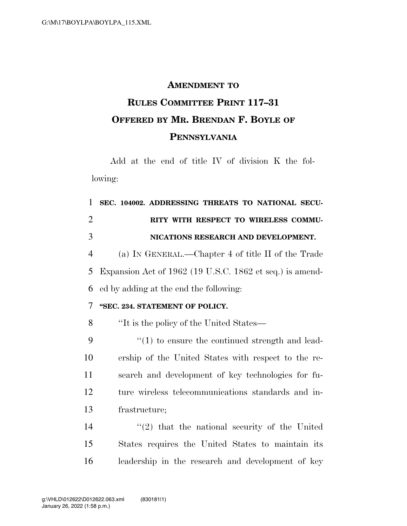### **AMENDMENT TO**

# **RULES COMMITTEE PRINT 117–31 OFFERED BY MR. BRENDAN F. BOYLE OF PENNSYLVANIA**

Add at the end of title IV of division K the following:

 **SEC. 104002. ADDRESSING THREATS TO NATIONAL SECU- RITY WITH RESPECT TO WIRELESS COMMU- NICATIONS RESEARCH AND DEVELOPMENT.**  (a) IN GENERAL.—Chapter 4 of title II of the Trade Expansion Act of 1962 (19 U.S.C. 1862 et seq.) is amend- ed by adding at the end the following: **''SEC. 234. STATEMENT OF POLICY.**  ''It is the policy of the United States— ''(1) to ensure the continued strength and lead- ership of the United States with respect to the re- search and development of key technologies for fu- ture wireless telecommunications standards and in- frastructure; ''(2) that the national security of the United States requires the United States to maintain its

leadership in the research and development of key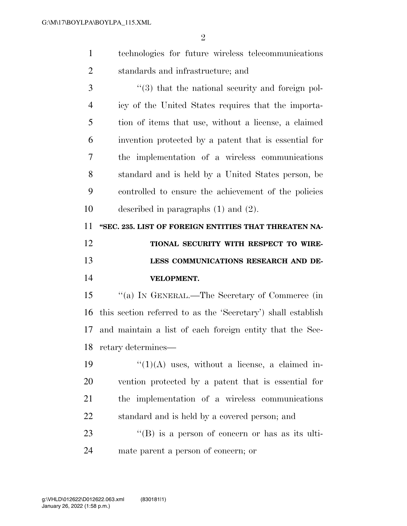$\mathfrak{D}$ 

- technologies for future wireless telecommunications standards and infrastructure; and
- ''(3) that the national security and foreign pol- icy of the United States requires that the importa- tion of items that use, without a license, a claimed invention protected by a patent that is essential for the implementation of a wireless communications standard and is held by a United States person, be controlled to ensure the achievement of the policies described in paragraphs (1) and (2).

 **''SEC. 235. LIST OF FOREIGN ENTITIES THAT THREATEN NA- TIONAL SECURITY WITH RESPECT TO WIRE-LESS COMMUNICATIONS RESEARCH AND DE-**

### **VELOPMENT.**

 ''(a) IN GENERAL.—The Secretary of Commerce (in this section referred to as the 'Secretary') shall establish and maintain a list of each foreign entity that the Sec-retary determines—

 $\frac{1}{2}$   $\frac{1}{2}$   $\frac{1}{2}$  uses, without a license, a claimed in- vention protected by a patent that is essential for the implementation of a wireless communications standard and is held by a covered person; and

23 "(B) is a person of concern or has as its ulti-mate parent a person of concern; or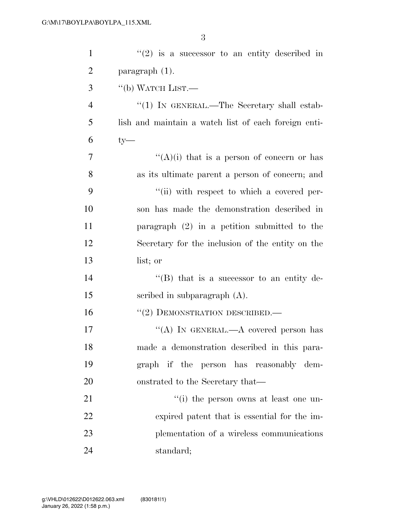| $\mathbf{1}$   | $f'(2)$ is a successor to an entity described in     |
|----------------|------------------------------------------------------|
| $\overline{2}$ | $\frac{1}{2}$ paragraph $(1)$ .                      |
| 3              | $\lq\lq$ (b) WATCH LIST.—                            |
| $\overline{4}$ | "(1) IN GENERAL.—The Secretary shall estab-          |
| 5              | lish and maintain a watch list of each foreign enti- |
| 6              | $ty$ —                                               |
| 7              | "(A)(i) that is a person of concern or has           |
| 8              | as its ultimate parent a person of concern; and      |
| 9              | "(ii) with respect to which a covered per-           |
| 10             | son has made the demonstration described in          |
| 11             | paragraph $(2)$ in a petition submitted to the       |
| 12             | Secretary for the inclusion of the entity on the     |
| 13             | list; or                                             |
| 14             | " $(B)$ that is a successor to an entity de-         |
| 15             | scribed in subparagraph $(A)$ .                      |
| 16             | $``(2)$ DEMONSTRATION DESCRIBED.—                    |
| 17             | "(A) IN GENERAL.—A covered person has                |
| 18             | made a demonstration described in this para-         |
| 19             | graph if the person has reasonably dem-              |
| 20             | onstrated to the Secretary that—                     |
| 21             | "(i) the person owns at least one un-                |
| 22             | expired patent that is essential for the im-         |
| 23             | plementation of a wireless communications            |
| 24             | standard;                                            |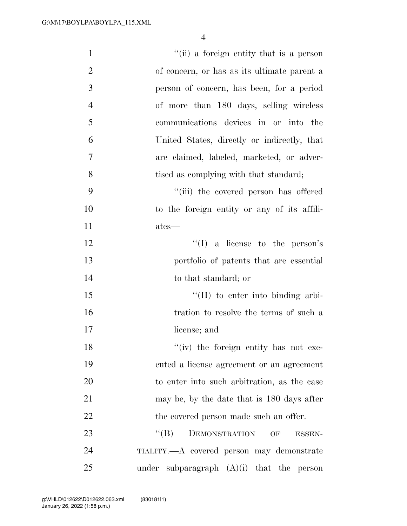| $\mathbf{1}$   | "(ii) a foreign entity that is a person              |
|----------------|------------------------------------------------------|
| $\overline{2}$ | of concern, or has as its ultimate parent a          |
| 3              | person of concern, has been, for a period            |
| $\overline{4}$ | of more than 180 days, selling wireless              |
| 5              | communications devices in or into the                |
| 6              | United States, directly or indirectly, that          |
| 7              | are claimed, labeled, marketed, or adver-            |
| 8              | tised as complying with that standard;               |
| 9              | "(iii) the covered person has offered                |
| 10             | to the foreign entity or any of its affili-          |
| 11             | ates—                                                |
| 12             | $\lq\lq$ (I) a license to the person's               |
| 13             | portfolio of patents that are essential              |
| 14             | to that standard; or                                 |
| 15             | $\lq\lq$ (II) to enter into binding arbi-            |
| 16             | tration to resolve the terms of such a               |
| 17             | license; and                                         |
| 18             | "(iv) the foreign entity has not exe-                |
| 19             | cuted a license agreement or an agreement            |
| 20             | to enter into such arbitration, as the case          |
| 21             | may be, by the date that is 180 days after           |
| 22             | the covered person made such an offer.               |
| 23             | $\lq\lq (B)$<br>DEMONSTRATION<br>OF<br><b>ESSEN-</b> |
| 24             | TIALITY.—A covered person may demonstrate            |
| 25             | subparagraph $(A)(i)$ that the person<br>under       |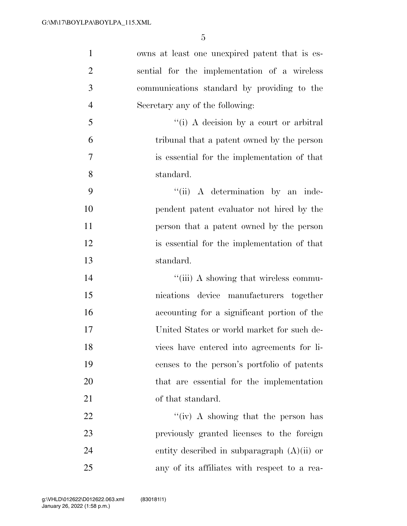| $\mathbf{1}$   | owns at least one unexpired patent that is es- |
|----------------|------------------------------------------------|
| $\overline{2}$ | sential for the implementation of a wireless   |
| 3              | communications standard by providing to the    |
| $\overline{4}$ | Secretary any of the following:                |
| 5              | "(i) A decision by a court or arbitral         |
| 6              | tribunal that a patent owned by the person     |
| $\overline{7}$ | is essential for the implementation of that    |
| 8              | standard.                                      |
| 9              | "(ii) A determination by an inde-              |
| 10             | pendent patent evaluator not hired by the      |
| 11             | person that a patent owned by the person       |
| 12             | is essential for the implementation of that    |
| 13             | standard.                                      |
| 14             | "(iii) A showing that wireless commu-          |
| 15             | nications device manufacturers together        |
| 16             | accounting for a significant portion of the    |
| 17             | United States or world market for such de-     |
| 18             | vices have entered into agreements for li-     |
| 19             | censes to the person's portfolio of patents    |
| 20             |                                                |
|                | that are essential for the implementation      |
| 21             | of that standard.                              |
| 22             | "(iv) A showing that the person has            |
| 23             | previously granted licenses to the foreign     |
| 24             | entity described in subparagraph $(A)(ii)$ or  |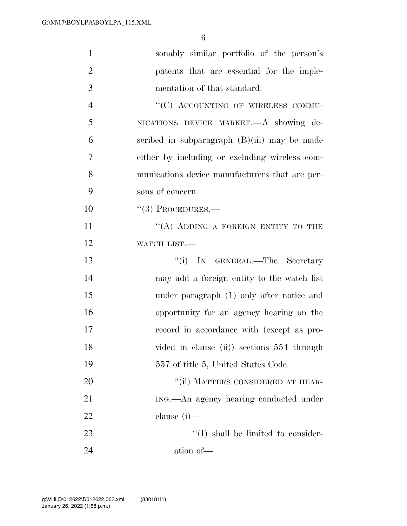| $\mathbf{1}$   | sonably similar portfolio of the person's      |
|----------------|------------------------------------------------|
| $\overline{2}$ | patents that are essential for the imple-      |
| 3              | mentation of that standard.                    |
| $\overline{4}$ | "(C) ACCOUNTING OF WIRELESS COMMU-             |
| 5              | NICATIONS DEVICE MARKET. A showing de-         |
| 6              | scribed in subparagraph $(B)(iii)$ may be made |
| 7              | either by including or excluding wireless com- |
| 8              | munications device manufacturers that are per- |
| 9              | sons of concern.                               |
| 10             | $``(3)$ PROCEDURES.—                           |
| 11             | "(A) ADDING A FOREIGN ENTITY TO THE            |
| 12             | WATCH LIST.-                                   |
| 13             | "(i) IN GENERAL.—The Secretary                 |
| 14             | may add a foreign entity to the watch list     |
| 15             | under paragraph (1) only after notice and      |
| 16             | opportunity for an agency hearing on the       |
| 17             | record in accordance with (except as pro-      |
| 18             | vided in clause (ii)) sections 554 through     |
| 19             | 557 of title 5, United States Code.            |
| 20             | "(ii) MATTERS CONSIDERED AT HEAR-              |
| 21             | ING.—An agency hearing conducted under         |
| 22             | clause $(i)$ —                                 |
| 23             | $\lq\lq$ shall be limited to consider-         |
| 24             | ation of-                                      |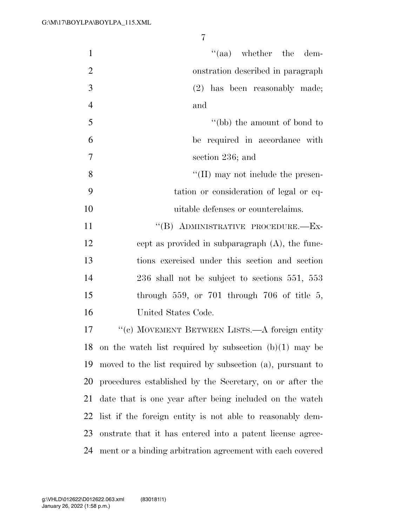| $\mathbf{1}$   | $\cdot$ (aa) whether the dem-                             |
|----------------|-----------------------------------------------------------|
| $\overline{2}$ | onstration described in paragraph                         |
| 3              | $(2)$ has been reasonably made;                           |
| $\overline{4}$ | and                                                       |
| 5              | "(bb) the amount of bond to                               |
| 6              | be required in accordance with                            |
| $\tau$         | section 236; and                                          |
| 8              | $\lq\lq$ (II) may not include the presen-                 |
| 9              | tation or consideration of legal or eq-                   |
| 10             | uitable defenses or counterclaims.                        |
| 11             | "(B) ADMINISTRATIVE PROCEDURE.-Ex-                        |
| 12             | cept as provided in subparagraph $(A)$ , the func-        |
| 13             | tions exercised under this section and section            |
| 14             | $236$ shall not be subject to sections $551, 553$         |
| 15             | through $559$ , or $701$ through $706$ of title $5$ ,     |
| 16             | United States Code.                                       |
| 17             | "(c) MOVEMENT BETWEEN LISTS.—A foreign entity             |
| 18             | on the watch list required by subsection $(b)(1)$ may be  |
| 19             | moved to the list required by subsection (a), pursuant to |
| 20             | procedures established by the Secretary, on or after the  |
| 21             | date that is one year after being included on the watch   |
| 22             | list if the foreign entity is not able to reasonably dem- |
| 23             | onstrate that it has entered into a patent license agree- |
| 24             | ment or a binding arbitration agreement with each covered |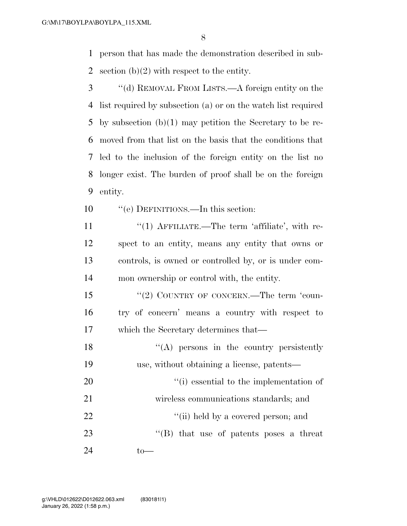person that has made the demonstration described in sub-2 section  $(b)(2)$  with respect to the entity.

- ''(d) REMOVAL FROM LISTS.—A foreign entity on the list required by subsection (a) or on the watch list required by subsection (b)(1) may petition the Secretary to be re- moved from that list on the basis that the conditions that led to the inclusion of the foreign entity on the list no longer exist. The burden of proof shall be on the foreign entity.
- ''(e) DEFINITIONS.—In this section:
- 11 "(1) AFFILIATE.—The term 'affiliate', with re- spect to an entity, means any entity that owns or controls, is owned or controlled by, or is under com-mon ownership or control with, the entity.
- 15 "(2) COUNTRY OF CONCERN.—The term 'coun- try of concern' means a country with respect to which the Secretary determines that—
- 18 ''(A) persons in the country persistently use, without obtaining a license, patents— 20  $\frac{1}{20}$  (i) essential to the implementation of wireless communications standards; and 22  $\frac{1}{1}$  held by a covered person; and 23 ''(B) that use of patents poses a threat to—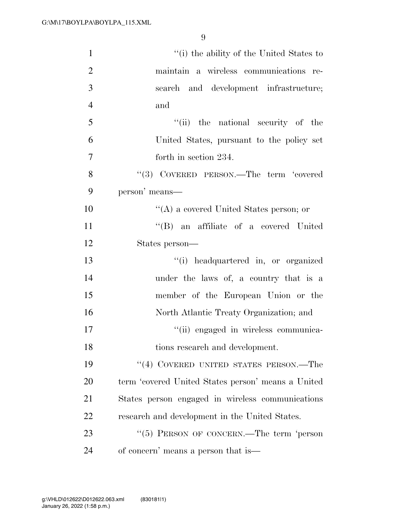| $\mathbf{1}$   | "(i) the ability of the United States to             |
|----------------|------------------------------------------------------|
| $\overline{2}$ | maintain a wireless communications re-               |
| 3              | search and development infrastructure;               |
| $\overline{4}$ | and                                                  |
| 5              | "(ii) the national security of the                   |
| 6              | United States, pursuant to the policy set            |
| $\overline{7}$ | forth in section 234.                                |
| 8              | "(3) COVERED PERSON.—The term 'covered               |
| 9              | person' means—                                       |
| 10             | "(A) a covered United States person; or              |
| 11             | "(B) an affiliate of a covered United                |
| 12             | States person—                                       |
| 13             | "(i) headquartered in, or organized                  |
| 14             | under the laws of, a country that is a               |
| 15             | member of the European Union or the                  |
| 16             | North Atlantic Treaty Organization; and              |
| 17             | "(ii) engaged in wireless communica-                 |
| 18             | tions research and development.                      |
| 19             | "(4) COVERED UNITED STATES PERSON.—The               |
| 20             | term 'covered United States person' means a United   |
| 21             | States person engaged in wireless communications     |
| 22             | research and development in the United States.       |
| 23             | $\cdot\cdot$ (5) PERSON OF CONCERN.—The term 'person |
| 24             | of concern' means a person that is—                  |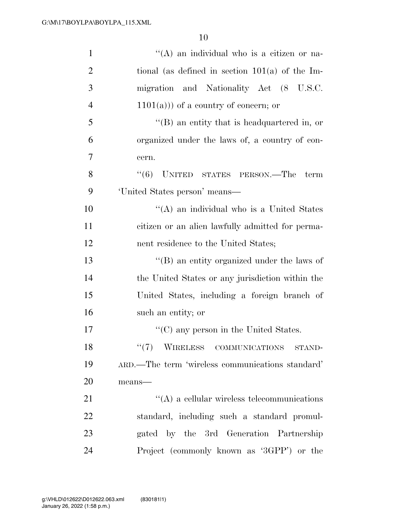| $\mathbf{1}$   | "(A) an individual who is a citizen or na-          |
|----------------|-----------------------------------------------------|
| $\overline{2}$ | tional (as defined in section $101(a)$ of the Im-   |
| 3              | migration and Nationality Act (8 U.S.C.             |
| $\overline{4}$ | $(1101(a))$ of a country of concern; or             |
| 5              | $\lq\lq (B)$ an entity that is headquartered in, or |
| 6              | organized under the laws of, a country of con-      |
| 7              | cern.                                               |
| 8              | (6)<br>UNITED STATES PERSON.—The<br>term            |
| 9              | 'United States person' means—                       |
| 10             | "(A) an individual who is a United States           |
| 11             | citizen or an alien lawfully admitted for perma-    |
| 12             | nent residence to the United States;                |
| 13             | $\lq\lq$ (B) an entity organized under the laws of  |
| 14             | the United States or any jurisdiction within the    |
| 15             | United States, including a foreign branch of        |
| 16             | such an entity; or                                  |
| 17             | $\lq\lq$ (C) any person in the United States.       |
| 18             | ``(7)<br>WIRELESS COMMUNICATIONS<br>STAND-          |
| 19             | ARD.—The term 'wireless communications standard'    |
| 20             | $means$ —                                           |
| 21             | $\lq\lq$ a cellular wireless telecommunications     |
| 22             | standard, including such a standard promul-         |
| 23             | gated by the 3rd Generation Partnership             |
| 24             | Project (commonly known as '3GPP') or the           |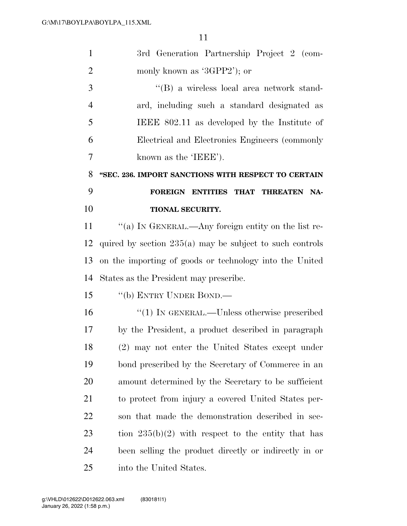| $\mathbf{1}$   | 3rd Generation Partnership Project 2 (com-                 |
|----------------|------------------------------------------------------------|
| $\overline{2}$ | monly known as '3GPP2'); or                                |
| 3              | "(B) a wireless local area network stand-                  |
| $\overline{4}$ | ard, including such a standard designated as               |
| 5              | IEEE 802.11 as developed by the Institute of               |
| 6              | Electrical and Electronics Engineers (commonly             |
| 7              | known as the 'IEEE').                                      |
| 8              | "SEC. 236. IMPORT SANCTIONS WITH RESPECT TO CERTAIN        |
| 9              | FOREIGN ENTITIES THAT THREATEN<br>NA-                      |
| 10             | TIONAL SECURITY.                                           |
| 11             | "(a) IN GENERAL.—Any foreign entity on the list re-        |
| 12             | quired by section $235(a)$ may be subject to such controls |
| 13             | on the importing of goods or technology into the United    |
| 14             | States as the President may prescribe.                     |
| 15             | "(b) ENTRY UNDER BOND.—                                    |
| 16             | $\cdot\cdot(1)$ In GENERAL.—Unless otherwise prescribed    |
| 17             | by the President, a product described in paragraph         |
| 18             | (2) may not enter the United States except under           |
| 19             | bond prescribed by the Secretary of Commerce in an         |
| 20             | amount determined by the Secretary to be sufficient        |
| 21             | to protect from injury a covered United States per-        |
| 22             | son that made the demonstration described in sec-          |
| 23             | tion $235(b)(2)$ with respect to the entity that has       |
| 24             | been selling the product directly or indirectly in or      |
| 25             | into the United States.                                    |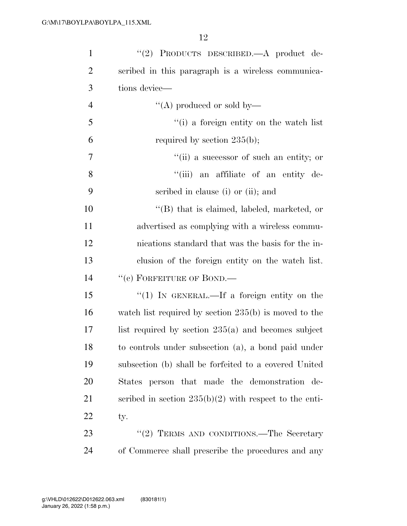| $\mathbf{1}$   | "(2) PRODUCTS DESCRIBED.—A product de-                   |
|----------------|----------------------------------------------------------|
| $\overline{2}$ | scribed in this paragraph is a wireless communica-       |
| 3              | tions device—                                            |
| $\overline{4}$ | "(A) produced or sold by—                                |
| 5              | "(i) a foreign entity on the watch list                  |
| 6              | required by section $235(b)$ ;                           |
| 7              | "(ii) a successor of such an entity; or                  |
| 8              | "(iii) an affiliate of an entity de-                     |
| 9              | scribed in clause (i) or (ii); and                       |
| 10             | $\lq\lq$ that is claimed, labeled, marketed, or          |
| 11             | advertised as complying with a wireless commu-           |
| 12             | nications standard that was the basis for the in-        |
| 13             | clusion of the foreign entity on the watch list.         |
| 14             | "(c) FORFEITURE OF BOND.-                                |
| 15             | "(1) In GENERAL.—If a foreign entity on the              |
| 16             | watch list required by section $235(b)$ is moved to the  |
| 17             | list required by section $235(a)$ and becomes subject    |
| 18             | to controls under subsection (a), a bond paid under      |
| 19             | subsection (b) shall be forfeited to a covered United    |
| 20             | States person that made the demonstration de-            |
| 21             | scribed in section $235(b)(2)$ with respect to the enti- |
| 22             | ty.                                                      |
| 23             | "(2) TERMS AND CONDITIONS.—The Secretary                 |
| 24             | of Commerce shall prescribe the procedures and any       |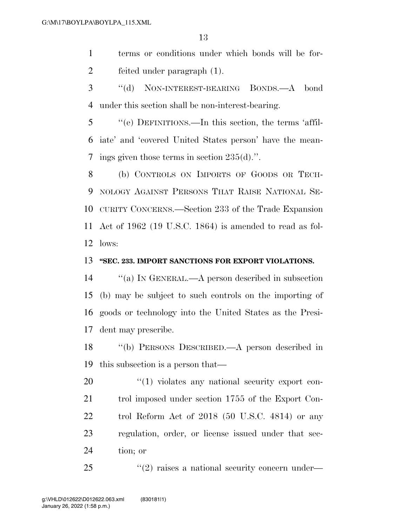terms or conditions under which bonds will be for-feited under paragraph (1).

 ''(d) NON-INTEREST-BEARING BONDS.—A bond under this section shall be non-interest-bearing.

 ''(e) DEFINITIONS.—In this section, the terms 'affil- iate' and 'covered United States person' have the mean-ings given those terms in section 235(d).''.

 (b) CONTROLS ON IMPORTS OF GOODS OR TECH- NOLOGY AGAINST PERSONS THAT RAISE NATIONAL SE- CURITY CONCERNS.—Section 233 of the Trade Expansion Act of 1962 (19 U.S.C. 1864) is amended to read as fol-lows:

#### **''SEC. 233. IMPORT SANCTIONS FOR EXPORT VIOLATIONS.**

 ''(a) IN GENERAL.—A person described in subsection (b) may be subject to such controls on the importing of goods or technology into the United States as the Presi-dent may prescribe.

 ''(b) PERSONS DESCRIBED.—A person described in this subsection is a person that—

 $\frac{1}{20}$   $\frac{1}{20}$  violates any national security export con-21 trol imposed under section 1755 of the Export Con- trol Reform Act of 2018 (50 U.S.C. 4814) or any regulation, order, or license issued under that sec-tion; or

25  $\frac{1}{2}$  raises a national security concern under—